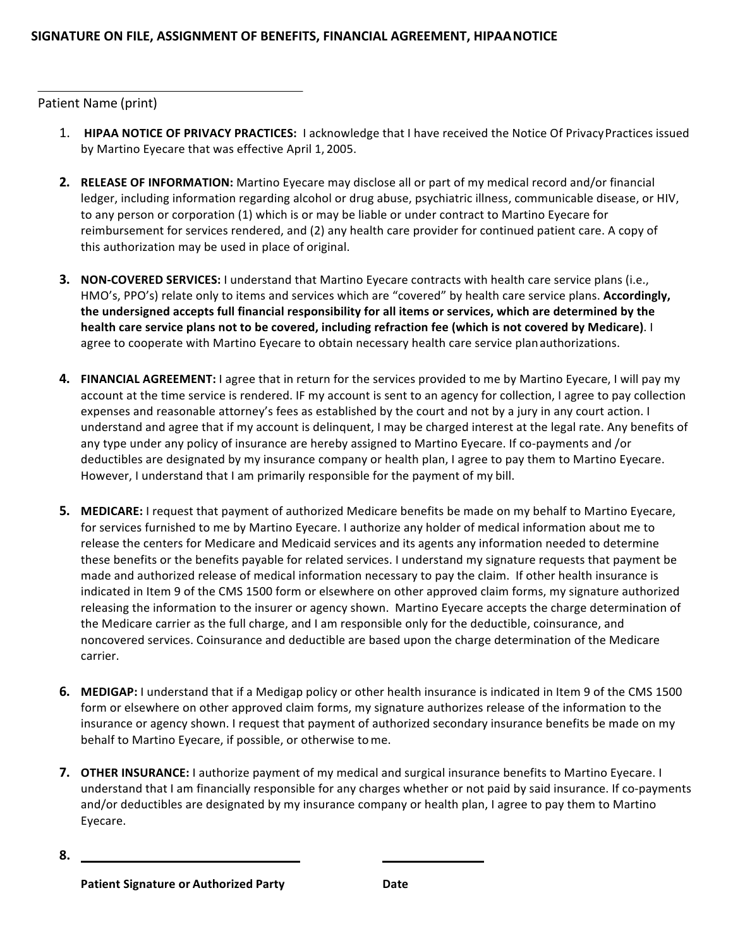## Patient Name (print)

- 1. **HIPAA NOTICE OF PRIVACY PRACTICES:** I acknowledge that I have received the Notice Of Privacy Practices issued by Martino Eyecare that was effective April 1, 2005.
- **2.** RELEASE OF INFORMATION: Martino Eyecare may disclose all or part of my medical record and/or financial ledger, including information regarding alcohol or drug abuse, psychiatric illness, communicable disease, or HIV, to any person or corporation (1) which is or may be liable or under contract to Martino Eyecare for reimbursement for services rendered, and (2) any health care provider for continued patient care. A copy of this authorization may be used in place of original.
- **3. NON-COVERED SERVICES:** I understand that Martino Eyecare contracts with health care service plans (i.e., HMO's, PPO's) relate only to items and services which are "covered" by health care service plans. Accordingly, the undersigned accepts full financial responsibility for all items or services, which are determined by the health care service plans not to be covered, including refraction fee (which is not covered by Medicare). I agree to cooperate with Martino Eyecare to obtain necessary health care service planauthorizations.
- **4.** FINANCIAL AGREEMENT: I agree that in return for the services provided to me by Martino Eyecare, I will pay my account at the time service is rendered. IF my account is sent to an agency for collection, I agree to pay collection expenses and reasonable attorney's fees as established by the court and not by a jury in any court action. I understand and agree that if my account is delinquent, I may be charged interest at the legal rate. Any benefits of any type under any policy of insurance are hereby assigned to Martino Eyecare. If co-payments and /or deductibles are designated by my insurance company or health plan, I agree to pay them to Martino Eyecare. However, I understand that I am primarily responsible for the payment of my bill.
- **5. MEDICARE:** I request that payment of authorized Medicare benefits be made on my behalf to Martino Eyecare, for services furnished to me by Martino Eyecare. I authorize any holder of medical information about me to release the centers for Medicare and Medicaid services and its agents any information needed to determine these benefits or the benefits payable for related services. I understand my signature requests that payment be made and authorized release of medical information necessary to pay the claim. If other health insurance is indicated in Item 9 of the CMS 1500 form or elsewhere on other approved claim forms, my signature authorized releasing the information to the insurer or agency shown. Martino Eyecare accepts the charge determination of the Medicare carrier as the full charge, and I am responsible only for the deductible, coinsurance, and noncovered services. Coinsurance and deductible are based upon the charge determination of the Medicare carrier.
- **6.** MEDIGAP: I understand that if a Medigap policy or other health insurance is indicated in Item 9 of the CMS 1500 form or elsewhere on other approved claim forms, my signature authorizes release of the information to the insurance or agency shown. I request that payment of authorized secondary insurance benefits be made on my behalf to Martino Eyecare, if possible, or otherwise to me.
- **7. OTHER INSURANCE:** I authorize payment of my medical and surgical insurance benefits to Martino Eyecare. I understand that I am financially responsible for any charges whether or not paid by said insurance. If co-payments and/or deductibles are designated by my insurance company or health plan, I agree to pay them to Martino Eyecare.

**<sup>8.</sup>**